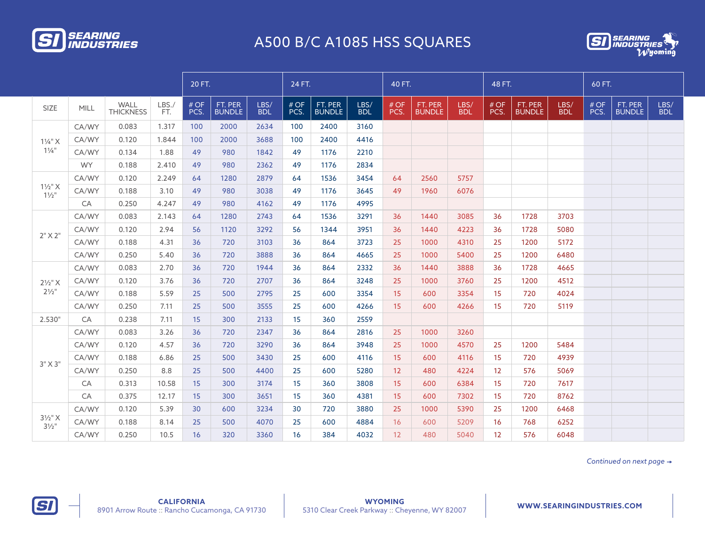

## A500 B/C A1085 HSS SQUARES



|                                        |       |                          |             | 20 FT.       |                          |                    | 24 FT.       |                          |                    | 40 FT.      |                          |                    | 48 FT.            |                          |                    | 60 FT.       |                          |                    |
|----------------------------------------|-------|--------------------------|-------------|--------------|--------------------------|--------------------|--------------|--------------------------|--------------------|-------------|--------------------------|--------------------|-------------------|--------------------------|--------------------|--------------|--------------------------|--------------------|
| <b>SIZE</b>                            | MILL  | WALL<br><b>THICKNESS</b> | LBS.<br>FT. | # OF<br>PCS. | FT. PER<br><b>BUNDLE</b> | LBS/<br><b>BDL</b> | # OF<br>PCS. | FT. PER<br><b>BUNDLE</b> | LBS/<br><b>BDL</b> | #OF<br>PCS. | FT. PER<br><b>BUNDLE</b> | LBS/<br><b>BDL</b> | # OF<br>PCS.      | FT. PER<br><b>BUNDLE</b> | LBS/<br><b>BDL</b> | # OF<br>PCS. | FT. PER<br><b>BUNDLE</b> | LBS/<br><b>BDL</b> |
| $1\frac{1}{4}$ " X<br>$1\frac{1}{4}$ " | CA/WY | 0.083                    | 1.317       | 100          | 2000                     | 2634               | 100          | 2400                     | 3160               |             |                          |                    |                   |                          |                    |              |                          |                    |
|                                        | CA/WY | 0.120                    | 1.844       | 100          | 2000                     | 3688               | 100          | 2400                     | 4416               |             |                          |                    |                   |                          |                    |              |                          |                    |
|                                        | CA/WY | 0.134                    | 1.88        | 49           | 980                      | 1842               | 49           | 1176                     | 2210               |             |                          |                    |                   |                          |                    |              |                          |                    |
|                                        | WY.   | 0.188                    | 2.410       | 49           | 980                      | 2362               | 49           | 1176                     | 2834               |             |                          |                    |                   |                          |                    |              |                          |                    |
|                                        | CA/WY | 0.120                    | 2.249       | 64           | 1280                     | 2879               | 64           | 1536                     | 3454               | 64          | 2560                     | 5757               |                   |                          |                    |              |                          |                    |
| $1\frac{1}{2}$ " X<br>$1\frac{1}{2}$ " | CA/WY | 0.188                    | 3.10        | 49           | 980                      | 3038               | 49           | 1176                     | 3645               | 49          | 1960                     | 6076               |                   |                          |                    |              |                          |                    |
|                                        | CA    | 0.250                    | 4.247       | 49           | 980                      | 4162               | 49           | 1176                     | 4995               |             |                          |                    |                   |                          |                    |              |                          |                    |
|                                        | CA/WY | 0.083                    | 2.143       | 64           | 1280                     | 2743               | 64           | 1536                     | 3291               | 36          | 1440                     | 3085               | 36                | 1728                     | 3703               |              |                          |                    |
| $2"$ X $2"$                            | CA/WY | 0.120                    | 2.94        | 56           | 1120                     | 3292               | 56           | 1344                     | 3951               | 36          | 1440                     | 4223               | 36                | 1728                     | 5080               |              |                          |                    |
|                                        | CA/WY | 0.188                    | 4.31        | 36           | 720                      | 3103               | 36           | 864                      | 3723               | 25          | 1000                     | 4310               | 25                | 1200                     | 5172               |              |                          |                    |
|                                        | CA/WY | 0.250                    | 5.40        | 36           | 720                      | 3888               | 36           | 864                      | 4665               | 25          | 1000                     | 5400               | 25                | 1200                     | 6480               |              |                          |                    |
|                                        | CA/WY | 0.083                    | 2.70        | 36           | 720                      | 1944               | 36           | 864                      | 2332               | 36          | 1440                     | 3888               | 36                | 1728                     | 4665               |              |                          |                    |
| $2\frac{1}{2}$ " X                     | CA/WY | 0.120                    | 3.76        | 36           | 720                      | 2707               | 36           | 864                      | 3248               | 25          | 1000                     | 3760               | 25                | 1200                     | 4512               |              |                          |                    |
| $2\frac{1}{2}$ "                       | CA/WY | 0.188                    | 5.59        | 25           | 500                      | 2795               | 25           | 600                      | 3354               | 15          | 600                      | 3354               | 15                | 720                      | 4024               |              |                          |                    |
|                                        | CA/WY | 0.250                    | 7.11        | 25           | 500                      | 3555               | 25           | 600                      | 4266               | 15          | 600                      | 4266               | 15                | 720                      | 5119               |              |                          |                    |
| 2.530"                                 | CA    | 0.238                    | 7.11        | 15           | 300                      | 2133               | 15           | 360                      | 2559               |             |                          |                    |                   |                          |                    |              |                          |                    |
|                                        | CA/WY | 0.083                    | 3.26        | 36           | 720                      | 2347               | 36           | 864                      | 2816               | 25          | 1000                     | 3260               |                   |                          |                    |              |                          |                    |
|                                        | CA/WY | 0.120                    | 4.57        | 36           | 720                      | 3290               | 36           | 864                      | 3948               | 25          | 1000                     | 4570               | 25                | 1200                     | 5484               |              |                          |                    |
|                                        | CA/WY | 0.188                    | 6.86        | 25           | 500                      | 3430               | 25           | 600                      | 4116               | 15          | 600                      | 4116               | 15                | 720                      | 4939               |              |                          |                    |
| $3"$ X $3"$                            | CA/WY | 0.250                    | 8.8         | 25           | 500                      | 4400               | 25           | 600                      | 5280               | 12          | 480                      | 4224               | $12 \overline{ }$ | 576                      | 5069               |              |                          |                    |
|                                        | CA    | 0.313                    | 10.58       | 15           | 300                      | 3174               | 15           | 360                      | 3808               | 15          | 600                      | 6384               | 15                | 720                      | 7617               |              |                          |                    |
|                                        | CA    | 0.375                    | 12.17       | 15           | 300                      | 3651               | 15           | 360                      | 4381               | 15          | 600                      | 7302               | 15                | 720                      | 8762               |              |                          |                    |
|                                        | CA/WY | 0.120                    | 5.39        | 30           | 600                      | 3234               | 30           | 720                      | 3880               | 25          | 1000                     | 5390               | 25                | 1200                     | 6468               |              |                          |                    |
| $3\frac{1}{2}$ " X<br>$3\frac{1}{2}$ " | CA/WY | 0.188                    | 8.14        | 25           | 500                      | 4070               | 25           | 600                      | 4884               | 16          | 600                      | 5209               | 16                | 768                      | 6252               |              |                          |                    |
|                                        | CA/WY | 0.250                    | 10.5        | 16           | 320                      | 3360               | 16           | 384                      | 4032               | 12          | 480                      | 5040               | 12                | 576                      | 6048               |              |                          |                    |

*Continued on next page* 

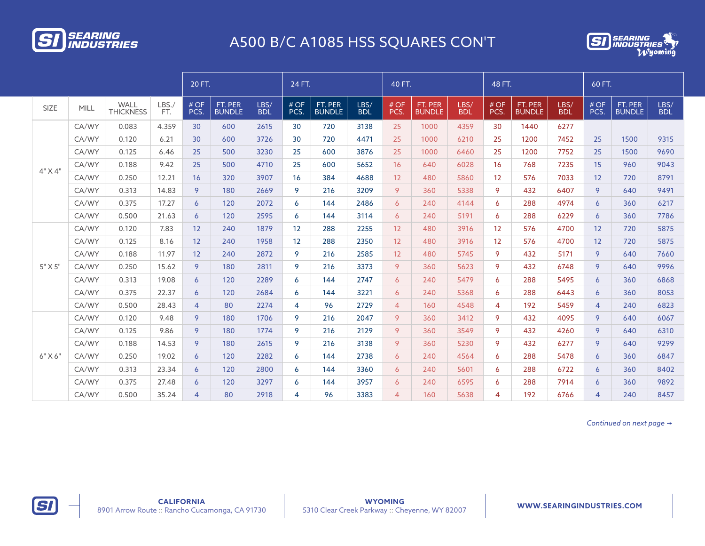

## A500 B/C A1085 HSS SQUARES CON'T



|             |       |                                 | 20 FT.      |                |                          | 24 FT.             |                |                          | 40 FT.             |                |                          | 48 FT.             |                         |                          | 60 FT.             |                |                          |                    |
|-------------|-------|---------------------------------|-------------|----------------|--------------------------|--------------------|----------------|--------------------------|--------------------|----------------|--------------------------|--------------------|-------------------------|--------------------------|--------------------|----------------|--------------------------|--------------------|
| <b>SIZE</b> | MILL  | <b>WALL</b><br><b>THICKNESS</b> | LBS.<br>FT. | # OF<br>PCS.   | FT. PER<br><b>BUNDLE</b> | LBS/<br><b>BDL</b> | # OF<br>PCS.   | FT. PER<br><b>BUNDLE</b> | LBS/<br><b>BDL</b> | #OF<br>PCS.    | FT. PER<br><b>BUNDLE</b> | LBS/<br><b>BDL</b> | #OF<br>PCS.             | FT. PER<br><b>BUNDLE</b> | LBS/<br><b>BDL</b> | #OF<br>PCS.    | FT. PER<br><b>BUNDLE</b> | LBS/<br><b>BDL</b> |
|             | CA/WY | 0.083                           | 4.359       | 30             | 600                      | 2615               | 30             | 720                      | 3138               | 25             | 1000                     | 4359               | 30                      | 1440                     | 6277               |                |                          |                    |
|             | CA/WY | 0.120                           | 6.21        | 30             | 600                      | 3726               | 30             | 720                      | 4471               | 25             | 1000                     | 6210               | 25                      | 1200                     | 7452               | 25             | 1500                     | 9315               |
|             | CA/WY | 0.125                           | 6.46        | 25             | 500                      | 3230               | 25             | 600                      | 3876               | 25             | 1000                     | 6460               | 25                      | 1200                     | 7752               | 25             | 1500                     | 9690               |
| $4"$ X $4"$ | CA/WY | 0.188                           | 9.42        | 25             | 500                      | 4710               | 25             | 600                      | 5652               | 16             | 640                      | 6028               | 16                      | 768                      | 7235               | 15             | 960                      | 9043               |
|             | CA/WY | 0.250                           | 12.21       | 16             | 320                      | 3907               | 16             | 384                      | 4688               | 12             | 480                      | 5860               | 12                      | 576                      | 7033               | 12             | 720                      | 8791               |
|             | CA/WY | 0.313                           | 14.83       | 9              | 180                      | 2669               | 9              | 216                      | 3209               | 9              | 360                      | 5338               | 9                       | 432                      | 6407               | 9              | 640                      | 9491               |
|             | CA/WY | 0.375                           | 17.27       | 6              | 120                      | 2072               | 6              | 144                      | 2486               | 6              | 240                      | 4144               | 6                       | 288                      | 4974               | 6              | 360                      | 6217               |
|             | CA/WY | 0.500                           | 21.63       | 6              | 120                      | 2595               | 6              | 144                      | 3114               | 6              | 240                      | 5191               | 6                       | 288                      | 6229               | 6              | 360                      | 7786               |
|             | CA/WY | 0.120                           | 7.83        | 12             | 240                      | 1879               | 12             | 288                      | 2255               | 12             | 480                      | 3916               | 12                      | 576                      | 4700               | 12             | 720                      | 5875               |
|             | CA/WY | 0.125                           | 8.16        | 12             | 240                      | 1958               | 12             | 288                      | 2350               | 12             | 480                      | 3916               | 12                      | 576                      | 4700               | 12             | 720                      | 5875               |
|             | CA/WY | 0.188                           | 11.97       | 12             | 240                      | 2872               | 9              | 216                      | 2585               | 12             | 480                      | 5745               | 9                       | 432                      | 5171               | 9              | 640                      | 7660               |
| 5" X 5"     | CA/WY | 0.250                           | 15.62       | 9              | 180                      | 2811               | 9              | 216                      | 3373               | 9              | 360                      | 5623               | 9                       | 432                      | 6748               | 9              | 640                      | 9996               |
|             | CA/WY | 0.313                           | 19.08       | 6              | 120                      | 2289               | 6              | 144                      | 2747               | 6              | 240                      | 5479               | 6                       | 288                      | 5495               | 6              | 360                      | 6868               |
|             | CA/WY | 0.375                           | 22.37       | 6              | 120                      | 2684               | 6              | 144                      | 3221               | $\overline{6}$ | 240                      | 5368               | 6                       | 288                      | 6443               | 6              | 360                      | 8053               |
|             | CA/WY | 0.500                           | 28.43       | $\overline{4}$ | 80                       | 2274               | 4              | 96                       | 2729               | $\overline{4}$ | 160                      | 4548               | 4                       | 192                      | 5459               | $\overline{4}$ | 240                      | 6823               |
|             | CA/WY | 0.120                           | 9.48        | 9              | 180                      | 1706               | 9              | 216                      | 2047               | 9              | 360                      | 3412               | 9                       | 432                      | 4095               | 9              | 640                      | 6067               |
|             | CA/WY | 0.125                           | 9.86        | 9              | 180                      | 1774               | 9              | 216                      | 2129               | 9              | 360                      | 3549               | 9                       | 432                      | 4260               | 9              | 640                      | 6310               |
| $6"$ X $6"$ | CA/WY | 0.188                           | 14.53       | 9              | 180                      | 2615               | 9              | 216                      | 3138               | 9              | 360                      | 5230               | 9                       | 432                      | 6277               | 9              | 640                      | 9299               |
|             | CA/WY | 0.250                           | 19.02       | 6              | 120                      | 2282               | 6              | 144                      | 2738               | 6              | 240                      | 4564               | 6                       | 288                      | 5478               | 6              | 360                      | 6847               |
|             | CA/WY | 0.313                           | 23.34       | 6              | 120                      | 2800               | 6              | 144                      | 3360               | 6              | 240                      | 5601               | 6                       | 288                      | 6722               | 6              | 360                      | 8402               |
|             | CA/WY | 0.375                           | 27.48       | 6              | 120                      | 3297               | 6              | 144                      | 3957               | 6              | 240                      | 6595               | 6                       | 288                      | 7914               | 6              | 360                      | 9892               |
|             | CA/WY | 0.500                           | 35.24       | 4              | 80                       | 2918               | $\overline{4}$ | 96                       | 3383               | $\overline{4}$ | 160                      | 5638               | $\overline{\mathbf{A}}$ | 192                      | 6766               | $\overline{4}$ | 240                      | 8457               |

*Continued on next page*